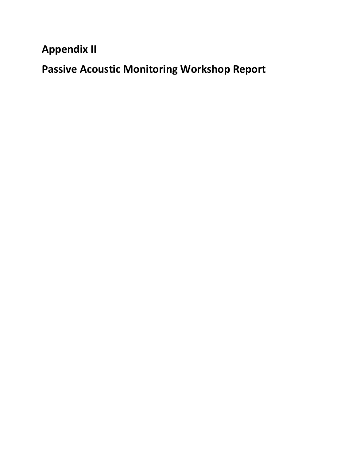**Appendix II**

**Passive Acoustic Monitoring Workshop Report**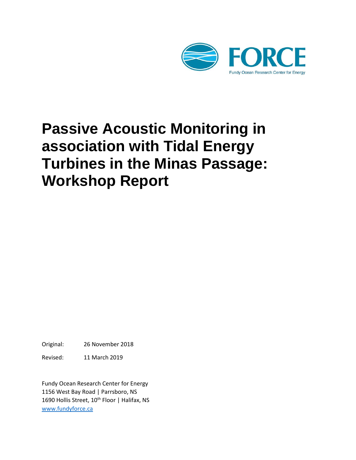

# **Passive Acoustic Monitoring in association with Tidal Energy Turbines in the Minas Passage: Workshop Report**

Original: 26 November 2018

Revised: 11 March 2019

Fundy Ocean Research Center for Energy 1156 West Bay Road | Parrsboro, NS 1690 Hollis Street, 10<sup>th</sup> Floor | Halifax, NS [www.fundyforce.ca](http://www.fundyforce.ca/)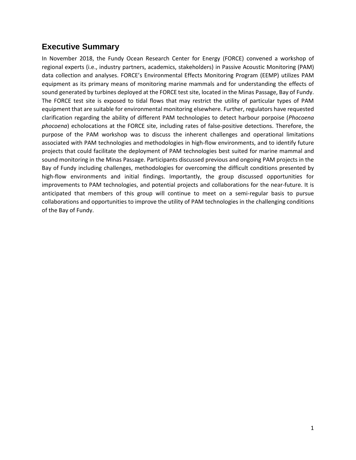## **Executive Summary**

In November 2018, the Fundy Ocean Research Center for Energy (FORCE) convened a workshop of regional experts (i.e., industry partners, academics, stakeholders) in Passive Acoustic Monitoring (PAM) data collection and analyses. FORCE's Environmental Effects Monitoring Program (EEMP) utilizes PAM equipment as its primary means of monitoring marine mammals and for understanding the effects of sound generated by turbines deployed at the FORCE test site, located in the Minas Passage, Bay of Fundy. The FORCE test site is exposed to tidal flows that may restrict the utility of particular types of PAM equipment that are suitable for environmental monitoring elsewhere. Further, regulators have requested clarification regarding the ability of different PAM technologies to detect harbour porpoise (*Phocoena phocoena*) echolocations at the FORCE site, including rates of false-positive detections. Therefore, the purpose of the PAM workshop was to discuss the inherent challenges and operational limitations associated with PAM technologies and methodologies in high-flow environments, and to identify future projects that could facilitate the deployment of PAM technologies best suited for marine mammal and sound monitoring in the Minas Passage. Participants discussed previous and ongoing PAM projects in the Bay of Fundy including challenges, methodologies for overcoming the difficult conditions presented by high-flow environments and initial findings. Importantly, the group discussed opportunities for improvements to PAM technologies, and potential projects and collaborations for the near-future. It is anticipated that members of this group will continue to meet on a semi-regular basis to pursue collaborations and opportunities to improve the utility of PAM technologies in the challenging conditions of the Bay of Fundy.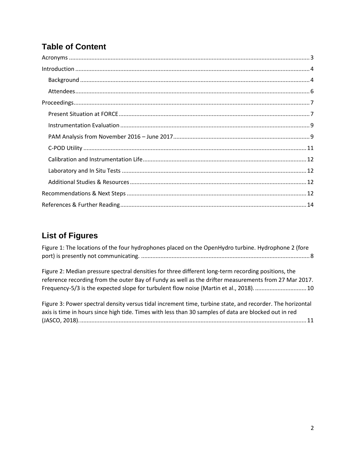# **Table of Content**

# **List of Figures**

| Figure 1: The locations of the four hydrophones placed on the OpenHydro turbine. Hydrophone 2 (fore |  |
|-----------------------------------------------------------------------------------------------------|--|
|                                                                                                     |  |

Figure 2: Median pressure spectral densities for three different long-term recording positions, the reference recording from the outer Bay of Fundy as well as the drifter measurements from 27 Mar 2017. Frequency-5/3 is the expected slope for turbulent flow noise (Martin et al., 2018). ................................ 10

| Figure 3: Power spectral density versus tidal increment time, turbine state, and recorder. The horizontal |
|-----------------------------------------------------------------------------------------------------------|
| axis is time in hours since high tide. Times with less than 30 samples of data are blocked out in red     |
|                                                                                                           |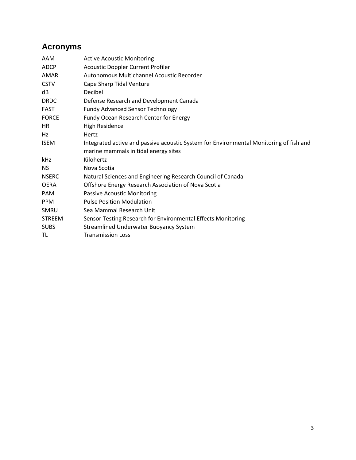# <span id="page-4-0"></span>**Acronyms**

| AAM           | <b>Active Acoustic Monitoring</b>                                                      |
|---------------|----------------------------------------------------------------------------------------|
| ADCP          | <b>Acoustic Doppler Current Profiler</b>                                               |
| <b>AMAR</b>   | Autonomous Multichannel Acoustic Recorder                                              |
| <b>CSTV</b>   | Cape Sharp Tidal Venture                                                               |
| dB            | Decibel                                                                                |
| <b>DRDC</b>   | Defense Research and Development Canada                                                |
| <b>FAST</b>   | <b>Fundy Advanced Sensor Technology</b>                                                |
| <b>FORCE</b>  | Fundy Ocean Research Center for Energy                                                 |
| HR.           | <b>High Residence</b>                                                                  |
| Hz            | Hertz                                                                                  |
| <b>ISEM</b>   | Integrated active and passive acoustic System for Environmental Monitoring of fish and |
|               | marine mammals in tidal energy sites                                                   |
| kHz           | Kilohertz                                                                              |
| NS.           | Nova Scotia                                                                            |
| <b>NSERC</b>  | Natural Sciences and Engineering Research Council of Canada                            |
| <b>OERA</b>   | Offshore Energy Research Association of Nova Scotia                                    |
| <b>PAM</b>    | <b>Passive Acoustic Monitoring</b>                                                     |
| <b>PPM</b>    | <b>Pulse Position Modulation</b>                                                       |
| <b>SMRU</b>   | Sea Mammal Research Unit                                                               |
| <b>STREEM</b> | Sensor Testing Research for Environmental Effects Monitoring                           |
| <b>SUBS</b>   | Streamlined Underwater Buoyancy System                                                 |
| TL            | <b>Transmission Loss</b>                                                               |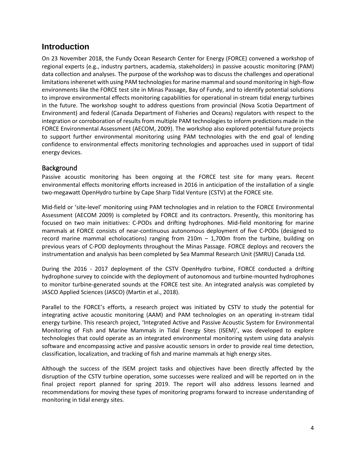## <span id="page-5-0"></span>**Introduction**

On 23 November 2018, the Fundy Ocean Research Center for Energy (FORCE) convened a workshop of regional experts (e.g., industry partners, academia, stakeholders) in passive acoustic monitoring (PAM) data collection and analyses. The purpose of the workshop was to discuss the challenges and operational limitations inherenet with using PAM technologies for marine mammal and sound monitoring in high-flow environments like the FORCE test site in Minas Passage, Bay of Fundy, and to identify potential solutions to improve environmental effects monitoring capabilities for operational in-stream tidal energy turbines in the future. The workshop sought to address questions from provincial (Nova Scotia Department of Environment) and federal (Canada Department of Fisheries and Oceans) regulators with respect to the integration or corroboration of results from multiple PAM technologies to inform predictions made in the FORCE Environmental Assessment (AECOM, 2009). The workshop also explored potential future projects to support further environmental monitoring using PAM technologies with the end goal of lending confidence to environmental effects monitoring technologies and approaches used in support of tidal energy devices.

#### <span id="page-5-1"></span>**Background**

Passive acoustic monitoring has been ongoing at the FORCE test site for many years. Recent environmental effects monitoring efforts increased in 2016 in anticipation of the installation of a single two-megawatt OpenHydro turbine by Cape Sharp Tidal Venture (CSTV) at the FORCE site.

Mid-field or 'site-level' monitoring using PAM technologies and in relation to the FORCE Environmental Assessment (AECOM 2009) is completed by FORCE and its contractors. Presently, this monitoring has focused on two main initiatives: C-PODs and drifting hydrophones. Mid-field monitoring for marine mammals at FORCE consists of near-continuous autonomous deployment of five C-PODs (designed to record marine mammal echolocations) ranging from 210m – 1,700m from the turbine, building on previous years of C-POD deployments throughout the Minas Passage. FORCE deploys and recovers the instrumentation and analysis has been completed by Sea Mammal Research Unit (SMRU) Canada Ltd.

During the 2016 - 2017 deployment of the CSTV OpenHydro turbine, FORCE conducted a drifting hydrophone survey to coincide with the deployment of autonomous and turbine-mounted hydrophones to monitor turbine-generated sounds at the FORCE test site. An integrated analysis was completed by JASCO Applied Sciences (JASCO) (Martin et al., 2018).

Parallel to the FORCE's efforts, a research project was initiated by CSTV to study the potential for integrating active acoustic monitoring (AAM) and PAM technologies on an operating in-stream tidal energy turbine. This research project, 'Integrated Active and Passive Acoustic System for Environmental Monitoring of Fish and Marine Mammals in Tidal Energy Sites (ISEM)', was developed to explore technologies that could operate as an integrated environmental monitoring system using data analysis software and encompassing active and passive acoustic sensors in order to provide real time detection, classification, localization, and tracking of fish and marine mammals at high energy sites.

Although the success of the ISEM project tasks and objectives have been directly affected by the disruption of the CSTV turbine operation, some successes were realized and will be reported on in the final project report planned for spring 2019. The report will also address lessons learned and recommendations for moving these types of monitoring programs forward to increase understanding of monitoring in tidal energy sites.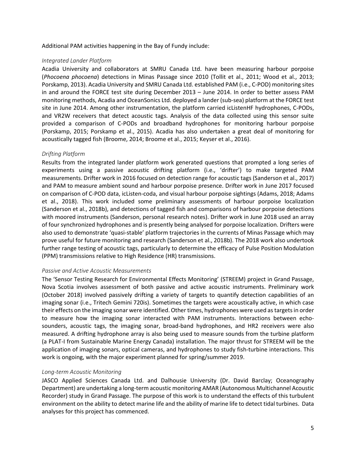Additional PAM activities happening in the Bay of Fundy include:

#### *Integrated Lander Platform*

Acadia University and collaborators at SMRU Canada Ltd. have been measuring harbour porpoise (*Phocoena phocoena*) detections in Minas Passage since 2010 (Tollit et al., 2011; Wood et al., 2013; Porskamp, 2013). Acadia University and SMRU Canada Ltd. established PAM (i.e., C-POD) monitoring sites in and around the FORCE test site during December 2013 – June 2014. In order to better assess PAM monitoring methods, Acadia and OceanSonics Ltd. deployed a lander (sub-sea) platform at the FORCE test site in June 2014. Among other instrumentation, the platform carried icListenHF hydrophones, C-PODs, and VR2W receivers that detect acoustic tags. Analysis of the data collected using this sensor suite provided a comparison of C-PODs and broadband hydrophones for monitoring harbour porpoise (Porskamp, 2015; Porskamp et al., 2015). Acadia has also undertaken a great deal of monitoring for acoustically tagged fish (Broome, 2014; Broome et al., 2015; Keyser et al., 2016).

#### *Drifting Platform*

Results from the integrated lander platform work generated questions that prompted a long series of experiments using a passive acoustic drifting platform (i.e., 'drifter') to make targeted PAM measurements. Drifter work in 2016 focused on detection range for acoustic tags (Sanderson et al., 2017) and PAM to measure ambient sound and harbour porpoise presence. Drifter work in June 2017 focused on comparison of C-POD data, icListen-coda, and visual harbour porpoise sightings (Adams, 2018; Adams et al., 2018). This work included some preliminary assessments of harbour porpoise localization (Sanderson et al., 2018b), and detections of tagged fish and comparisons of harbour porpoise detections with moored instruments (Sanderson, personal research notes). Drifter work in June 2018 used an array of four synchronized hydrophones and is presently being analysed for porpoise localization. Drifters were also used to demonstrate 'quasi-stable' platform trajectories in the currents of Minas Passage which may prove useful for future monitoring and research (Sanderson et al., 2018b). The 2018 work also undertook further range testing of acoustic tags, particularly to determine the efficacy of Pulse Position Modulation (PPM) transmissions relative to High Residence (HR) transmissions.

#### *Passive and Active Acoustic Measurements*

The 'Sensor Testing Research for Environmental Effects Monitoring' (STREEM) project in Grand Passage, Nova Scotia involves assessment of both passive and active acoustic instruments. Preliminary work (October 2018) involved passively drifting a variety of targets to quantify detection capabilities of an imaging sonar (i.e., Tritech Gemini 720is). Sometimes the targets were acoustically active, in which case their effects on the imaging sonar were identified. Other times, hydrophones were used astargets in order to measure how the imaging sonar interacted with PAM instruments. Interactions between echosounders, acoustic tags, the imaging sonar, broad-band hydrophones, and HR2 receivers were also measured. A drifting hydrophone array is also being used to measure sounds from the turbine platform (a PLAT-I from Sustainable Marine Energy Canada) installation. The major thrust for STREEM will be the application of imaging sonars, optical cameras, and hydrophones to study fish-turbine interactions. This work is ongoing, with the major experiment planned for spring/summer 2019.

#### *Long-term Acoustic Monitoring*

JASCO Applied Sciences Canada Ltd. and Dalhousie University (Dr. David Barclay; Oceanography Department) are undertaking a long-term acoustic monitoring AMAR (Autonomous Multichannel Acoustic Recorder) study in Grand Passage. The purpose of this work is to understand the effects of this turbulent environment on the ability to detect marine life and the ability of marine life to detect tidal turbines. Data analyses for this project has commenced.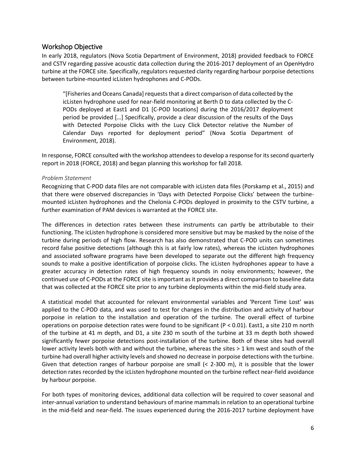#### <span id="page-7-0"></span>Workshop Objective

In early 2018, regulators (Nova Scotia Department of Environment, 2018) provided feedback to FORCE and CSTV regarding passive acoustic data collection during the 2016-2017 deployment of an OpenHydro turbine at the FORCE site. Specifically, regulators requested clarity regarding harbour porpoise detections between turbine-mounted icListen hydrophones and C-PODs.

"[Fisheries and Oceans Canada] requests that a direct comparison of data collected by the icListen hydrophone used for near-field monitoring at Berth D to data collected by the C-PODs deployed at East1 and D1 [C-POD locations] during the 2016/2017 deployment period be provided […] Specifically, provide a clear discussion of the results of the Days with Detected Porpoise Clicks with the Lucy Click Detector relative the Number of Calendar Days reported for deployment period" (Nova Scotia Department of Environment, 2018).

In response, FORCE consulted with the workshop attendees to develop a response for its second quarterly report in 2018 (FORCE, 2018) and began planning this workshop for fall 2018.

#### *Problem Statement*

Recognizing that C-POD data files are not comparable with icListen data files (Porskamp et al., 2015) and that there were observed discrepancies in 'Days with Detected Porpoise Clicks' between the turbinemounted icListen hydrophones and the Chelonia C-PODs deployed in proximity to the CSTV turbine, a further examination of PAM devices is warranted at the FORCE site.

The differences in detection rates between these instruments can partly be attributable to their functioning. The icListen hydrophone is considered more sensitive but may be masked by the noise of the turbine during periods of high flow. Research has also demonstrated that C-POD units can sometimes record false positive detections (although this is at fairly low rates), whereas the icListen hydrophones and associated software programs have been developed to separate out the different high frequency sounds to make a positive identification of porpoise clicks. The icListen hydrophones appear to have a greater accuracy in detection rates of high frequency sounds in noisy environments; however, the continued use of C-PODs at the FORCE site is important as it provides a direct comparison to baseline data that was collected at the FORCE site prior to any turbine deployments within the mid-field study area.

A statistical model that accounted for relevant environmental variables and 'Percent Time Lost' was applied to the C-POD data, and was used to test for changes in the distribution and activity of harbour porpoise in relation to the installation and operation of the turbine. The overall effect of turbine operations on porpoise detection rates were found to be significant (P < 0.01). East1, a site 210 m north of the turbine at 41 m depth, and D1, a site 230 m south of the turbine at 33 m depth both showed significantly fewer porpoise detections post-installation of the turbine. Both of these sites had overall lower activity levels both with and without the turbine, whereas the sites > 1 km west and south of the turbine had overall higher activity levels and showed no decrease in porpoise detections with the turbine. Given that detection ranges of harbour porpoise are small (< 2-300 m), it is possible that the lower detection rates recorded by the icListen hydrophone mounted on the turbine reflect near-field avoidance by harbour porpoise.

For both types of monitoring devices, additional data collection will be required to cover seasonal and inter-annual variation to understand behaviours of marine mammals in relation to an operational turbine in the mid-field and near-field. The issues experienced during the 2016-2017 turbine deployment have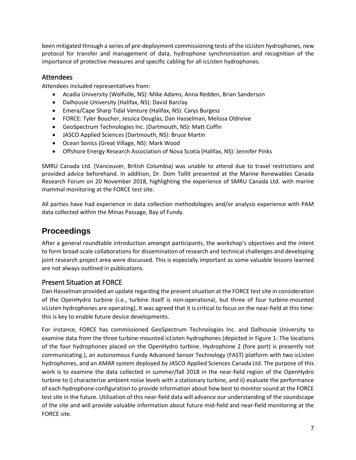been mitigated through a series of pre-deployment commissioning tests of the icListen hydrophones, new protocol for transfer and management of data, hydrophone synchronization and recognition of the importance of protective measures and specific cabling for all icListen hydrophones.

#### Attendees

Attendees included representatives from:

- Acadia University (Wolfville, NS): Mike Adams, Anna Redden, Brian Sanderson
- Dalhousie University (Halifax, NS): David Barclay
- Emera/Cape Sharp Tidal Venture (Halifax, NS): Carys Burgess
- FORCE: Tyler Boucher, Jessica Douglas, Dan Hasselman, Melissa Oldreive
- GeoSpectrum Technologies Inc. (Dartmouth, NS): Matt Coffin
- JASCO Applied Sciences (Dartmouth, NS): Bruce Martin
- Ocean Sonics (Great Village, NS): Mark Wood
- Offshore Energy Research Association of Nova Scotia (Halifax, NS): Jennifer Pinks

SMRU Canada Ltd. (Vancouver, British Columbia) was unable to attend due to travel restrictions and provided advice beforehand. In addition, Dr. Dom Tollit presented at the Marine Renewables Canada Research Forum on 20 November 2018, highlighting the experience of SMRU Canada Ltd. with marine mammal monitoring at the FORCE test site.

All parties have had experience in data collection methodologies and/or analysis experience with PAM data collected within the Minas Passage, Bay of Fundy.

# <span id="page-8-0"></span>**Proceedings**

After a general roundtable introduction amongst participants, the workshop's objectives and the intent to form broad-scale collaborations for dissemination of research and technical challenges and developing joint research project area were discussed. This is especially important as some valuable lessons learned are not always outlined in publications.

### <span id="page-8-1"></span>Present Situation at FORCE

Dan Hasselman provided an update regarding the present situation at the FORCE test site in consideration of the OpenHydro turbine (i.e., turbine itself is non-operational, but three of four turbine-mounted icListen hydrophones are operating). It was agreed that it is critical to focus on the near-field at this time: this is key to enable future device developments.

For instance, FORCE has commissioned GeoSpectrum Technologies Inc. and Dalhousie University to examine data from the three turbine-mounted icListen hydrophones (depicted i[n Figure 1: The locations](#page-9-0)  [of the four hydrophones placed on the OpenHydro turbine. Hydrophone 2](#page-9-0) (fore port) is presently not [communicating.\)](#page-9-0), an autonomous Fundy Advanced Sensor Technology (FAST) platform with two icListen hydrophones, and an AMAR system deployed by JASCO Applied Sciences Canada Ltd. The purpose of this work is to examine the data collected in summer/fall 2018 in the near-field region of the OpenHydro turbine to i) characterize ambient noise levels with a stationary turbine, and ii) evaluate the performance of each hydrophone configuration to provide information about how best to monitor sound at the FORCE test site in the future. Utilization of this near-field data will advance our understanding of the soundscape of the site and will provide valuable information about future mid-field and near-field monitoring at the FORCE site.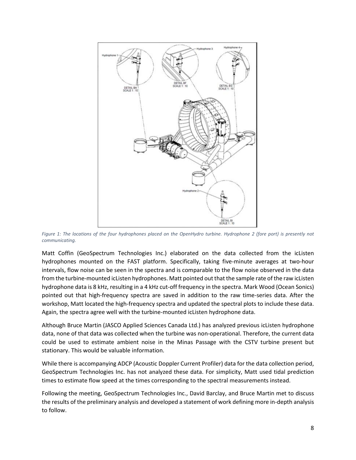

<span id="page-9-0"></span>*Figure 1: The locations of the four hydrophones placed on the OpenHydro turbine. Hydrophone 2 (fore port) is presently not communicating.*

Matt Coffin (GeoSpectrum Technologies Inc.) elaborated on the data collected from the icListen hydrophones mounted on the FAST platform. Specifically, taking five-minute averages at two-hour intervals, flow noise can be seen in the spectra and is comparable to the flow noise observed in the data from the turbine-mounted icListen hydrophones. Matt pointed out that the sample rate of the raw icListen hydrophone data is 8 kHz, resulting in a 4 kHz cut-off frequency in the spectra. Mark Wood (Ocean Sonics) pointed out that high-frequency spectra are saved in addition to the raw time-series data. After the workshop, Matt located the high-frequency spectra and updated the spectral plots to include these data. Again, the spectra agree well with the turbine-mounted icListen hydrophone data.

Although Bruce Martin (JASCO Applied Sciences Canada Ltd.) has analyzed previous icListen hydrophone data, none of that data was collected when the turbine was non-operational. Therefore, the current data could be used to estimate ambient noise in the Minas Passage with the CSTV turbine present but stationary. This would be valuable information.

While there is accompanying ADCP (Acoustic Doppler Current Profiler) data for the data collection period, GeoSpectrum Technologies Inc. has not analyzed these data. For simplicity, Matt used tidal prediction times to estimate flow speed at the times corresponding to the spectral measurements instead.

Following the meeting, GeoSpectrum Technologies Inc., David Barclay, and Bruce Martin met to discuss the results of the preliminary analysis and developed a statement of work defining more in-depth analysis to follow.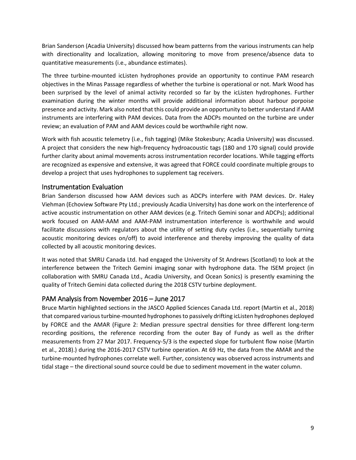Brian Sanderson (Acadia University) discussed how beam patterns from the various instruments can help with directionality and localization, allowing monitoring to move from presence/absence data to quantitative measurements (i.e., abundance estimates).

The three turbine-mounted icListen hydrophones provide an opportunity to continue PAM research objectives in the Minas Passage regardless of whether the turbine is operational or not. Mark Wood has been surprised by the level of animal activity recorded so far by the icListen hydrophones. Further examination during the winter months will provide additional information about harbour porpoise presence and activity. Mark also noted that this could provide an opportunity to better understand if AAM instruments are interfering with PAM devices. Data from the ADCPs mounted on the turbine are under review; an evaluation of PAM and AAM devices could be worthwhile right now.

Work with fish acoustic telemetry (i.e., fish tagging) (Mike Stokesbury; Acadia University) was discussed. A project that considers the new high-frequency hydroacoustic tags (180 and 170 signal) could provide further clarity about animal movements across instrumentation recorder locations. While tagging efforts are recognized as expensive and extensive, it was agreed that FORCE could coordinate multiple groups to develop a project that uses hydrophones to supplement tag receivers.

#### <span id="page-10-0"></span>Instrumentation Evaluation

Brian Sanderson discussed how AAM devices such as ADCPs interfere with PAM devices. Dr. Haley Viehman (Echoview Software Pty Ltd.; previously Acadia University) has done work on the interference of active acoustic instrumentation on other AAM devices (e.g. Tritech Gemini sonar and ADCPs); additional work focused on AAM-AAM and AAM-PAM instrumentation interference is worthwhile and would facilitate discussions with regulators about the utility of setting duty cycles (i.e., sequentially turning acoustic monitoring devices on/off) to avoid interference and thereby improving the quality of data collected by all acoustic monitoring devices.

It was noted that SMRU Canada Ltd. had engaged the University of St Andrews (Scotland) to look at the interference between the Tritech Gemini imaging sonar with hydrophone data. The ISEM project (in collaboration with SMRU Canada Ltd., Acadia University, and Ocean Sonics) is presently examining the quality of Tritech Gemini data collected during the 2018 CSTV turbine deployment.

#### <span id="page-10-1"></span>PAM Analysis from November 2016 – June 2017

Bruce Martin highlighted sections in the JASCO Applied Sciences Canada Ltd. report (Martin et al., 2018) that compared various turbine-mounted hydrophones to passively drifting icListen hydrophones deployed by FORCE and the AMAR (Figure 2: [Median pressure spectral densities for three different long-term](#page-11-0)  [recording positions, the reference recording from the outer Bay of Fundy as well as the drifter](#page-11-0)  [measurements from 27 Mar 2017. Frequency-5/3 is the expected slope for turbulent](#page-11-0) flow noise (Martin [et al., 2018\).\)](#page-11-0) during the 2016-2017 CSTV turbine operation. At 69 Hz, the data from the AMAR and the turbine-mounted hydrophones correlate well. Further, consistency was observed across instruments and tidal stage – the directional sound source could be due to sediment movement in the water column.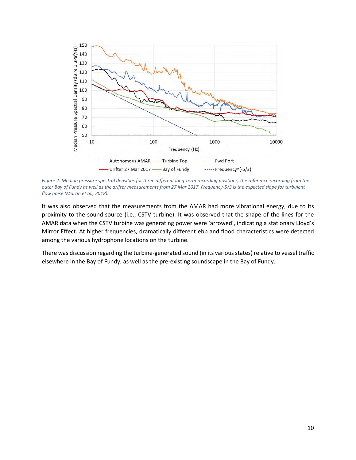

<span id="page-11-0"></span>*Figure 2: Median pressure spectral densities for three different long-term recording positions, the reference recording from the outer Bay of Fundy as well as the drifter measurements from 27 Mar 2017. Frequency-5/3 is the expected slope for turbulent flow noise (Martin et al., 2018).*

It was also observed that the measurements from the AMAR had more vibrational energy, due to its proximity to the sound-source (i.e., CSTV turbine). It was observed that the shape of the lines for the AMAR data when the CSTV turbine was generating power were 'arrowed', indicating a stationary Lloyd's Mirror Effect. At higher frequencies, dramatically different ebb and flood characteristics were detected among the various hydrophone locations on the turbine.

There was discussion regarding the turbine-generated sound (in its various states) relative to vessel traffic elsewhere in the Bay of Fundy, as well as the pre-existing soundscape in the Bay of Fundy.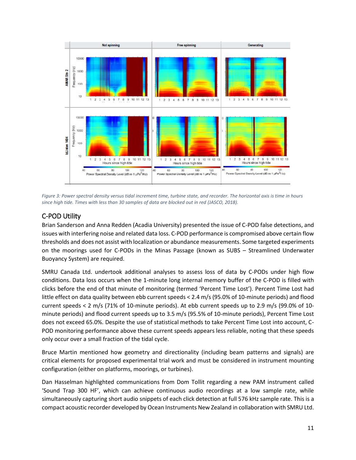

<span id="page-12-1"></span>*Figure 3: Power spectral density versus tidal increment time, turbine state, and recorder. The horizontal axis is time in hours since high tide. Times with less than 30 samples of data are blocked out in red (JASCO, 2018).*

## <span id="page-12-0"></span>C-POD Utility

Brian Sanderson and Anna Redden (Acadia University) presented the issue of C-POD false detections, and issues with interfering noise and related data loss. C-POD performance is compromised above certain flow thresholds and does not assist with localization or abundance measurements. Some targeted experiments on the moorings used for C-PODs in the Minas Passage (known as SUBS – Streamlined Underwater Buoyancy System) are required.

SMRU Canada Ltd. undertook additional analyses to assess loss of data by C-PODs under high flow conditions. Data loss occurs when the 1-minute long internal memory buffer of the C-POD is filled with clicks before the end of that minute of monitoring (termed 'Percent Time Lost'). Percent Time Lost had little effect on data quality between ebb current speeds < 2.4 m/s (95.0% of 10-minute periods) and flood current speeds < 2 m/s (71% of 10-minute periods). At ebb current speeds up to 2.9 m/s (99.0% of 10 minute periods) and flood current speeds up to 3.5 m/s (95.5% of 10-minute periods), Percent Time Lost does not exceed 65.0%. Despite the use of statistical methods to take Percent Time Lost into account, C-POD monitoring performance above these current speeds appears less reliable, noting that these speeds only occur over a small fraction of the tidal cycle.

Bruce Martin mentioned how geometry and directionality (including beam patterns and signals) are critical elements for proposed experimental trial work and must be considered in instrument mounting configuration (either on platforms, moorings, or turbines).

Dan Hasselman highlighted communications from Dom Tollit regarding a new PAM instrument called 'Sound Trap 300 HF', which can achieve continuous audio recordings at a low sample rate, while simultaneously capturing short audio snippets of each click detection at full 576 kHz sample rate. This is a compact acoustic recorder developed by Ocean Instruments New Zealand in collaboration with SMRU Ltd.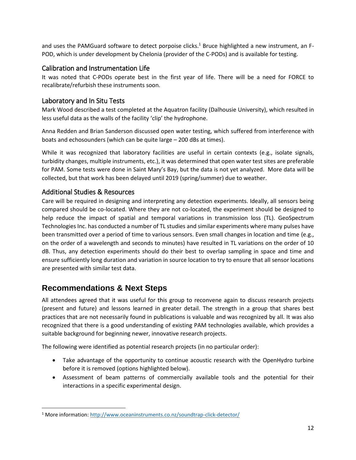and uses the PAMGuard software to detect porpoise clicks.<sup>1</sup> Bruce highlighted a new instrument, an F-POD, which is under development by Chelonia (provider of the C-PODs) and is available for testing.

#### <span id="page-13-0"></span>Calibration and Instrumentation Life

It was noted that C-PODs operate best in the first year of life. There will be a need for FORCE to recalibrate/refurbish these instruments soon.

## <span id="page-13-1"></span>Laboratory and In Situ Tests

Mark Wood described a test completed at the Aquatron facility (Dalhousie University), which resulted in less useful data as the walls of the facility 'clip' the hydrophone.

Anna Redden and Brian Sanderson discussed open water testing, which suffered from interference with boats and echosounders (which can be quite large – 200 dBs at times).

While it was recognized that laboratory facilities are useful in certain contexts (e.g., isolate signals, turbidity changes, multiple instruments, etc.), it was determined that open water test sites are preferable for PAM. Some tests were done in Saint Mary's Bay, but the data is not yet analyzed. More data will be collected, but that work has been delayed until 2019 (spring/summer) due to weather.

### <span id="page-13-2"></span>Additional Studies & Resources

Care will be required in designing and interpreting any detection experiments. Ideally, all sensors being compared should be co-located. Where they are not co-located, the experiment should be designed to help reduce the impact of spatial and temporal variations in transmission loss (TL). GeoSpectrum Technologies Inc. has conducted a number of TL studies and similar experiments where many pulses have been transmitted over a period of time to various sensors. Even small changes in location and time (e.g., on the order of a wavelength and seconds to minutes) have resulted in TL variations on the order of 10 dB. Thus, any detection experiments should do their best to overlap sampling in space and time and ensure sufficiently long duration and variation in source location to try to ensure that all sensor locations are presented with similar test data.

# <span id="page-13-3"></span>**Recommendations & Next Steps**

 $\overline{\phantom{a}}$ 

All attendees agreed that it was useful for this group to reconvene again to discuss research projects (present and future) and lessons learned in greater detail. The strength in a group that shares best practices that are not necessarily found in publications is valuable and was recognized by all. It was also recognized that there is a good understanding of existing PAM technologies available, which provides a suitable background for beginning newer, innovative research projects.

The following were identified as potential research projects (in no particular order):

- Take advantage of the opportunity to continue acoustic research with the OpenHydro turbine before it is removed (options highlighted below).
- Assessment of beam patterns of commercially available tools and the potential for their interactions in a specific experimental design.

<sup>&</sup>lt;sup>1</sup> More information:<http://www.oceaninstruments.co.nz/soundtrap-click-detector/>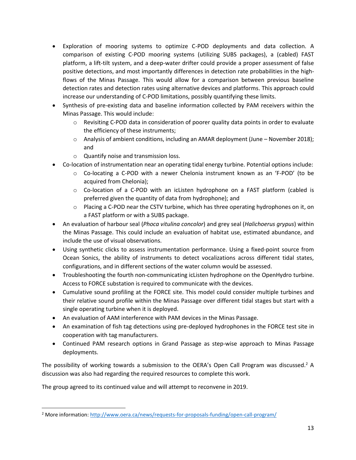- Exploration of mooring systems to optimize C-POD deployments and data collection. A comparison of existing C-POD mooring systems (utilizing SUBS packages), a (cabled) FAST platform, a lift-tilt system, and a deep-water drifter could provide a proper assessment of false positive detections, and most importantly differences in detection rate probabilities in the highflows of the Minas Passage. This would allow for a comparison between previous baseline detection rates and detection rates using alternative devices and platforms. This approach could increase our understanding of C-POD limitations, possibly quantifying these limits.
- Synthesis of pre-existing data and baseline information collected by PAM receivers within the Minas Passage. This would include:
	- $\circ$  Revisiting C-POD data in consideration of poorer quality data points in order to evaluate the efficiency of these instruments;
	- $\circ$  Analysis of ambient conditions, including an AMAR deployment (June November 2018); and
	- o Quantify noise and transmission loss.
- Co-location of instrumentation near an operating tidal energy turbine. Potential options include:
	- $\circ$  Co-locating a C-POD with a newer Chelonia instrument known as an 'F-POD' (to be acquired from Chelonia);
	- $\circ$  Co-location of a C-POD with an icListen hydrophone on a FAST platform (cabled is preferred given the quantity of data from hydrophone); and
	- $\circ$  Placing a C-POD near the CSTV turbine, which has three operating hydrophones on it, on a FAST platform or with a SUBS package.
- An evaluation of harbour seal (*Phoca vitulina concolor*) and grey seal (*Halichoerus grypus*) within the Minas Passage. This could include an evaluation of habitat use, estimated abundance, and include the use of visual observations.
- Using synthetic clicks to assess instrumentation performance. Using a fixed-point source from Ocean Sonics, the ability of instruments to detect vocalizations across different tidal states, configurations, and in different sections of the water column would be assessed.
- Troubleshooting the fourth non-communicating icListen hydrophone on the OpenHydro turbine. Access to FORCE substation is required to communicate with the devices.
- Cumulative sound profiling at the FORCE site. This model could consider multiple turbines and their relative sound profile within the Minas Passage over different tidal stages but start with a single operating turbine when it is deployed.
- An evaluation of AAM interference with PAM devices in the Minas Passage.
- An examination of fish tag detections using pre-deployed hydrophones in the FORCE test site in cooperation with tag manufacturers.
- Continued PAM research options in Grand Passage as step-wise approach to Minas Passage deployments.

The possibility of working towards a submission to the OERA's Open Call Program was discussed.<sup>2</sup> A discussion was also had regarding the required resources to complete this work.

The group agreed to its continued value and will attempt to reconvene in 2019.

 $\overline{\phantom{a}}$ 

<sup>&</sup>lt;sup>2</sup> More information:<http://www.oera.ca/news/requests-for-proposals-funding/open-call-program/>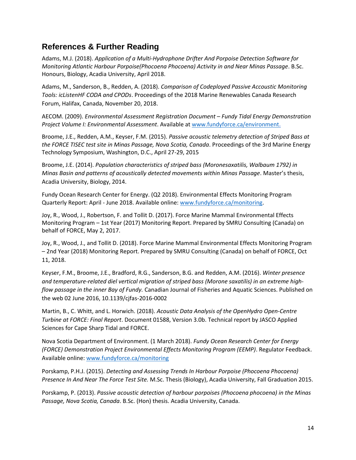## <span id="page-15-0"></span>**References & Further Reading**

Adams, M.J. (2018). *Application of a Multi-Hydrophone Drifter And Porpoise Detection Software for Monitoring Atlantic Harbour Porpoise(Phocoena Phocoena) Activity in and Near Minas Passage*. B.Sc. Honours, Biology, Acadia University, April 2018.

Adams, M., Sanderson, B., Redden, A. (2018). *Comparison of Codeployed Passive Accoustic Monitoring Tools: icListenHF CODA and CPODs*. Proceedings of the 2018 Marine Renewables Canada Research Forum, Halifax, Canada, November 20, 2018.

AECOM. (2009). *Environmental Assessment Registration Document – Fundy Tidal Energy Demonstration Project Volume I: Environmental Assessment*. Available at [www.fundyforce.ca/environment.](http://www.fundyforce.ca/environment)

Broome, J.E., Redden, A.M., Keyser, F.M. (2015). *Passive acoustic telemetry detection of Striped Bass at the FORCE TISEC test site in Minas Passage, Nova Scotia, Canada*. Proceedings of the 3rd Marine Energy Technology Symposium, Washington, D.C., April 27-29, 2015

Broome, J.E. (2014). *Population characteristics of striped bass (Moronesaxatilis, Walbaum 1792) in Minas Basin and patterns of acoustically detected movements within Minas Passage*. Master's thesis, Acadia University, Biology, 2014.

Fundy Ocean Research Center for Energy. (Q2 2018). Environmental Effects Monitoring Program Quarterly Report: April - June 2018. Available online[: www.fundyforce.ca/monitoring.](http://www.fundyforce.ca/monitoring)

Joy, R., Wood, J., Robertson, F. and Tollit D. (2017). Force Marine Mammal Environmental Effects Monitoring Program – 1st Year (2017) Monitoring Report. Prepared by SMRU Consulting (Canada) on behalf of FORCE, May 2, 2017.

Joy, R., Wood, J., and Tollit D. (2018). Force Marine Mammal Environmental Effects Monitoring Program – 2nd Year (2018) Monitoring Report. Prepared by SMRU Consulting (Canada) on behalf of FORCE, Oct 11, 2018.

Keyser, F.M., Broome, J.E., Bradford, R.G., Sanderson, B.G. and Redden, A.M. (2016). *Winter presence and temperature-related diel vertical migration of striped bass (Morone saxatilis) in an extreme highflow passage in the inner Bay of Fundy.* Canadian Journal of Fisheries and Aquatic Sciences. Published on the web 02 June 2016, 10.1139/cjfas-2016-0002

Martin, B., C. Whitt, and L. Horwich. (2018). *Acoustic Data Analysis of the OpenHydro Open-Centre Turbine at FORCE: Final Report*. Document 01588, Version 3.0b. Technical report by JASCO Applied Sciences for Cape Sharp Tidal and FORCE.

Nova Scotia Department of Environment. (1 March 2018). *Fundy Ocean Research Center for Energy (FORCE) Demonstration Project Environmental Effects Monitoring Program (EEMP)*. Regulator Feedback. Available online[: www.fundyforce.ca/monitoring](http://www.fundyforce.ca/monitoring)

Porskamp, P.H.J. (2015). *Detecting and Assessing Trends In Harbour Porpoise (Phocoena Phocoena) Presence In And Near The Force Test Site.* M.Sc. Thesis (Biology), Acadia University, Fall Graduation 2015.

Porskamp, P. (2013). *Passive acoustic detection of harbour porpoises (Phocoena phocoena) in the Minas Passage, Nova Scotia, Canada*. B.Sc. (Hon) thesis. Acadia University, Canada.